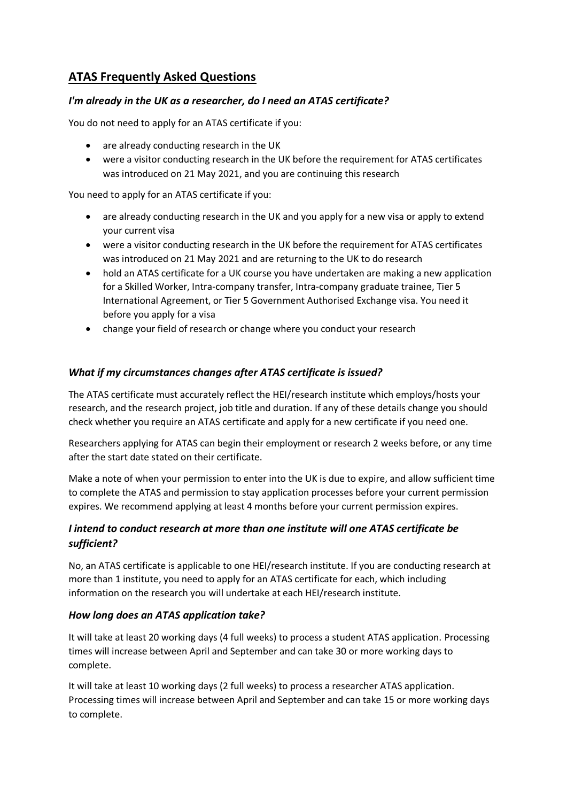# **ATAS Frequently Asked Questions**

## *I'm already in the UK as a researcher, do I need an ATAS certificate?*

You do not need to apply for an ATAS certificate if you:

- are already conducting research in the UK
- were a visitor conducting research in the UK before the requirement for ATAS certificates was introduced on 21 May 2021, and you are continuing this research

You need to apply for an ATAS certificate if you:

- are already conducting research in the UK and you apply for a new visa or apply to extend your current visa
- were a visitor conducting research in the UK before the requirement for ATAS certificates was introduced on 21 May 2021 and are returning to the UK to do research
- hold an ATAS certificate for a UK course you have undertaken are making a new application for a Skilled Worker, Intra-company transfer, Intra-company graduate trainee, Tier 5 International Agreement, or Tier 5 Government Authorised Exchange visa. You need it before you apply for a visa
- change your field of research or change where you conduct your research

## *What if my circumstances changes after ATAS certificate is issued?*

The ATAS certificate must accurately reflect the HEI/research institute which employs/hosts your research, and the research project, job title and duration. If any of these details change you should check whether you require an ATAS certificate and apply for a new certificate if you need one.

Researchers applying for ATAS can begin their employment or research 2 weeks before, or any time after the start date stated on their certificate.

Make a note of when your permission to enter into the UK is due to expire, and allow sufficient time to complete the ATAS and permission to stay application processes before your current permission expires. We recommend applying at least 4 months before your current permission expires.

## *I intend to conduct research at more than one institute will one ATAS certificate be sufficient?*

No, an ATAS certificate is applicable to one HEI/research institute. If you are conducting research at more than 1 institute, you need to apply for an ATAS certificate for each, which including information on the research you will undertake at each HEI/research institute.

## *How long does an ATAS application take?*

It will take at least 20 working days (4 full weeks) to process a student ATAS application. Processing times will increase between April and September and can take 30 or more working days to complete.

It will take at least 10 working days (2 full weeks) to process a researcher ATAS application. Processing times will increase between April and September and can take 15 or more working days to complete.